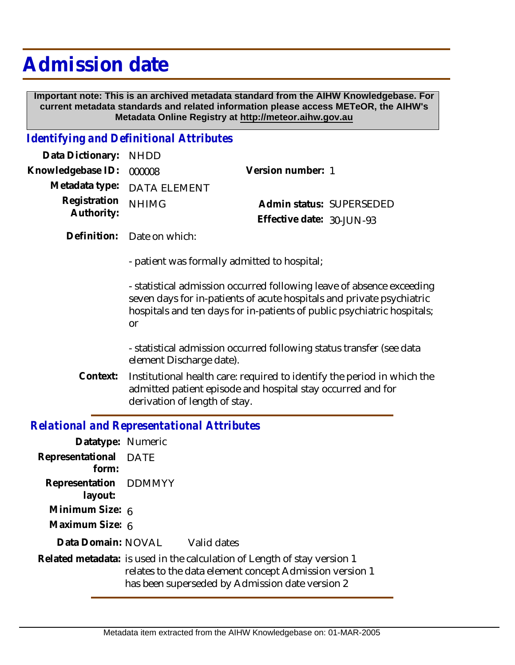# **Admission date**

 **Important note: This is an archived metadata standard from the AIHW Knowledgebase. For current metadata standards and related information please access METeOR, the AIHW's Metadata Online Registry at http://meteor.aihw.gov.au**

#### *Identifying and Definitional Attributes*

| Data Dictionary: NHDD    |                             |                              |  |
|--------------------------|-----------------------------|------------------------------|--|
| Knowledgebase ID: 000008 |                             | Version number: 1            |  |
|                          | Metadata type: DATA ELEMENT |                              |  |
| Registration NHIMG       |                             | Admin status: SUPERSEDED     |  |
| Authority:               |                             | Effective date: $30$ -JUN-93 |  |

Definition: Date on which:

- patient was formally admitted to hospital;

- statistical admission occurred following leave of absence exceeding seven days for in-patients of acute hospitals and private psychiatric hospitals and ten days for in-patients of public psychiatric hospitals; or

- statistical admission occurred following status transfer (see data element Discharge date).

Institutional health care: required to identify the period in which the admitted patient episode and hospital stay occurred and for derivation of length of stay. **Context:**

### *Relational and Representational Attributes*

| Datatype: Numeric                |                                                                                                                                                                                        |
|----------------------------------|----------------------------------------------------------------------------------------------------------------------------------------------------------------------------------------|
| Representational DATE<br>form:   |                                                                                                                                                                                        |
| Representation DDMMYY<br>layout: |                                                                                                                                                                                        |
| Minimum Size: 6                  |                                                                                                                                                                                        |
| Maximum Size: 6                  |                                                                                                                                                                                        |
|                                  | Data Domain: NOVAL Valid dates                                                                                                                                                         |
|                                  | Related metadata: is used in the calculation of Length of stay version 1<br>relates to the data element concept Admission version 1<br>has been superseded by Admission date version 2 |